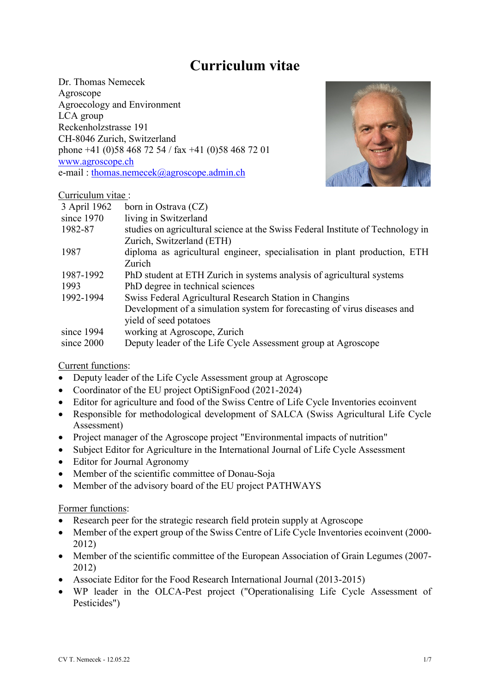# **Curriculum vitae**

Dr. Thomas Nemecek Agroscope Agroecology and Environment LCA group Reckenholzstrasse 191 CH-8046 Zurich, Switzerland phone +41 (0)58 468 72 54 / fax +41 (0)58 468 72 01 [www.agroscope.ch](http://www.agroscope.ch/) e-mail : [thomas.nemecek@agroscope.admin.ch](mailto:thomas.nemecek@agroscope.admin.ch)



## Curriculum vitae :

| 3 April 1962 | born in Ostrava (CZ)                                                            |
|--------------|---------------------------------------------------------------------------------|
| since 1970   | living in Switzerland                                                           |
| 1982-87      | studies on agricultural science at the Swiss Federal Institute of Technology in |
|              | Zurich, Switzerland (ETH)                                                       |
| 1987         | diploma as agricultural engineer, specialisation in plant production, ETH       |
|              | Zurich                                                                          |
| 1987-1992    | PhD student at ETH Zurich in systems analysis of agricultural systems           |
| 1993         | PhD degree in technical sciences                                                |
| 1992-1994    | Swiss Federal Agricultural Research Station in Changins                         |
|              | Development of a simulation system for forecasting of virus diseases and        |
|              | yield of seed potatoes                                                          |
| since 1994   | working at Agroscope, Zurich                                                    |
| since 2000   | Deputy leader of the Life Cycle Assessment group at Agroscope                   |

## Current functions:

- Deputy leader of the Life Cycle Assessment group at Agroscope
- Coordinator of the EU project OptiSignFood (2021-2024)
- Editor for agriculture and food of the Swiss Centre of Life Cycle Inventories ecoinvent
- Responsible for methodological development of SALCA (Swiss Agricultural Life Cycle Assessment)
- Project manager of the Agroscope project "Environmental impacts of nutrition"
- Subject Editor for Agriculture in the International Journal of Life Cycle Assessment
- Editor for Journal Agronomy
- Member of the scientific committee of Donau-Soja
- Member of the advisory board of the EU project PATHWAYS

### Former functions:

- Research peer for the strategic research field protein supply at Agroscope
- Member of the expert group of the Swiss Centre of Life Cycle Inventories ecoinvent (2000- 2012)
- Member of the scientific committee of the European Association of Grain Legumes (2007- 2012)
- Associate Editor for the Food Research International Journal (2013-2015)
- WP leader in the OLCA-Pest project ("Operationalising Life Cycle Assessment of Pesticides")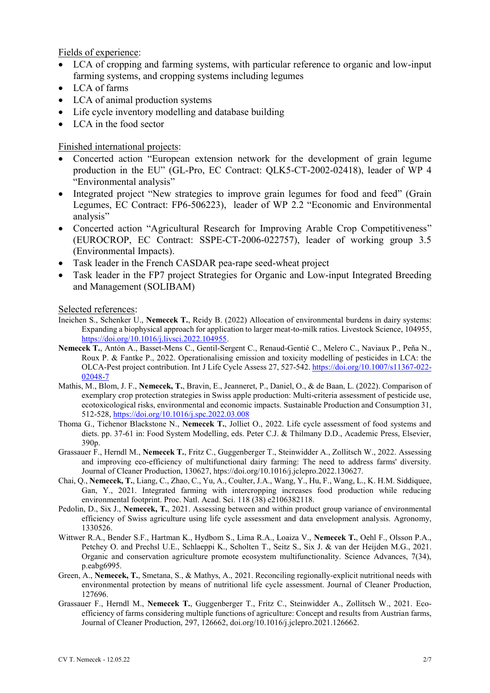Fields of experience:

- LCA of cropping and farming systems, with particular reference to organic and low-input farming systems, and cropping systems including legumes
- LCA of farms
- LCA of animal production systems
- Life cycle inventory modelling and database building
- LCA in the food sector

### Finished international projects:

- Concerted action "European extension network for the development of grain legume production in the EU" (GL-Pro, EC Contract: QLK5-CT-2002-02418), leader of WP 4 "Environmental analysis"
- Integrated project "New strategies to improve grain legumes for food and feed" (Grain Legumes, EC Contract: FP6-506223), leader of WP 2.2 "Economic and Environmental analysis"
- Concerted action "Agricultural Research for Improving Arable Crop Competitiveness" (EUROCROP, EC Contract: SSPE-CT-2006-022757), leader of working group 3.5 (Environmental Impacts).
- Task leader in the French CASDAR pea-rape seed-wheat project
- Task leader in the FP7 project Strategies for Organic and Low-input Integrated Breeding and Management (SOLIBAM)

#### Selected references:

- Ineichen S., Schenker U., **Nemecek T.**, Reidy B. (2022) Allocation of environmental burdens in dairy systems: Expanding a biophysical approach for application to larger meat-to-milk ratios. Livestock Science, 104955, [https://doi.org/10.1016/j.livsci.2022.104955.](https://doi.org/10.1016/j.livsci.2022.104955)
- **Nemecek T.**, Antón A., Basset-Mens C., Gentil-Sergent C., Renaud-Gentié C., Melero C., Naviaux P., Peña N., Roux P. & Fantke P., 2022. Operationalising emission and toxicity modelling of pesticides in LCA: the OLCA-Pest project contribution. Int J Life Cycle Assess 27, 527-542[. https://doi.org/10.1007/s11367-022-](https://doi.org/10.1007/s11367-022-02048-7) [02048-7](https://doi.org/10.1007/s11367-022-02048-7)
- Mathis, M., Blom, J. F., **Nemecek, T.**, Bravin, E., Jeanneret, P., Daniel, O., & de Baan, L. (2022). Comparison of exemplary crop protection strategies in Swiss apple production: Multi-criteria assessment of pesticide use, ecotoxicological risks, environmental and economic impacts. Sustainable Production and Consumption 31, 512-528[, https://doi.org/10.1016/j.spc.2022.03.008](https://doi.org/10.1016/j.spc.2022.03.008)
- Thoma G., Tichenor Blackstone N., **Nemecek T.**, Jolliet O., 2022. Life cycle assessment of food systems and diets. pp. 37-61 in: Food System Modelling, eds. Peter C.J. & Thilmany D.D., Academic Press, Elsevier, 390p.
- Grassauer F., Herndl M., **Nemecek T.**, Fritz C., Guggenberger T., Steinwidder A., Zollitsch W., 2022. Assessing and improving eco-efficiency of multifunctional dairy farming: The need to address farms' diversity. Journal of Cleaner Production, 130627, htps://doi.org/10.1016/j.jclepro.2022.130627.
- Chai, Q., **Nemecek, T.**, Liang, C., Zhao, C., Yu, A., Coulter, J.A., Wang, Y., Hu, F., Wang, L., K. H.M. Siddiquee, Gan, Y., 2021. Integrated farming with intercropping increases food production while reducing environmental footprint. Proc. Natl. Acad. Sci. 118 (38) e2106382118.
- Pedolin, D., Six J., **Nemecek, T.**, 2021. Assessing between and within product group variance of environmental efficiency of Swiss agriculture using life cycle assessment and data envelopment analysis. Agronomy, 1330526.
- Wittwer R.A., Bender S.F., Hartman K., Hydbom S., Lima R.A., Loaiza V., **Nemecek T.**, Oehl F., Olsson P.A., Petchey O. and Prechsl U.E., Schlaeppi K., Scholten T., Seitz S., Six J. & van der Heijden M.G., 2021. Organic and conservation agriculture promote ecosystem multifunctionality. Science Advances, 7(34), p.eabg6995.
- Green, A., **Nemecek, T.**, Smetana, S., & Mathys, A., 2021. Reconciling regionally-explicit nutritional needs with environmental protection by means of nutritional life cycle assessment. Journal of Cleaner Production, 127696.
- Grassauer F., Herndl M., **Nemecek T.**, Guggenberger T., Fritz C., Steinwidder A., Zollitsch W., 2021. Ecoefficiency of farms considering multiple functions of agriculture: Concept and results from Austrian farms, Journal of Cleaner Production, 297, 126662, doi.org/10.1016/j.jclepro.2021.126662.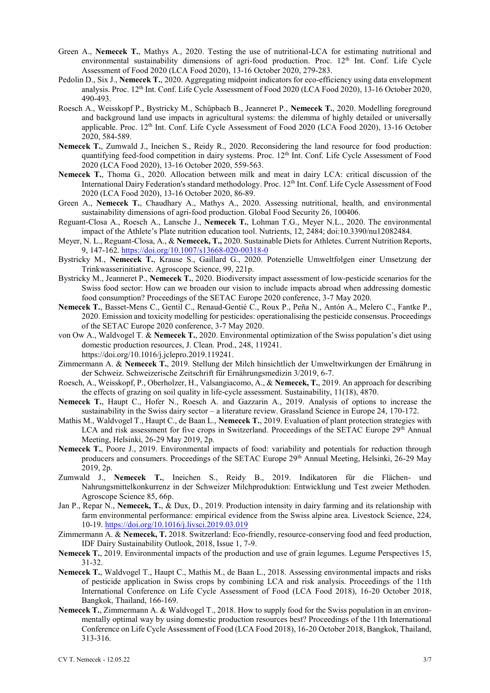- Green A., **Nemecek T.**, Mathys A., 2020. Testing the use of nutritional-LCA for estimating nutritional and environmental sustainability dimensions of agri-food production. Proc. 12<sup>th</sup> Int. Conf. Life Cycle Assessment of Food 2020 (LCA Food 2020), 13-16 October 2020, 279-283.
- Pedolin D., Six J., **Nemecek T.**, 2020. Aggregating midpoint indicators for eco-efficiency using data envelopment analysis. Proc. 12<sup>th</sup> Int. Conf. Life Cycle Assessment of Food 2020 (LCA Food 2020), 13-16 October 2020, 490-493.
- Roesch A., Weisskopf P., Bystricky M., Schüpbach B., Jeanneret P., **Nemecek T.**, 2020. Modelling foreground and background land use impacts in agricultural systems: the dilemma of highly detailed or universally applicable. Proc. 12<sup>th</sup> Int. Conf. Life Cycle Assessment of Food 2020 (LCA Food 2020), 13-16 October 2020, 584-589.
- **Nemecek T.**, Zumwald J., Ineichen S., Reidy R., 2020. Reconsidering the land resource for food production: quantifying feed-food competition in dairy systems. Proc. 12<sup>th</sup> Int. Conf. Life Cycle Assessment of Food 2020 (LCA Food 2020), 13-16 October 2020, 559-563.
- **Nemecek T.**, Thoma G., 2020. Allocation between milk and meat in dairy LCA: critical discussion of the International Dairy Federation's standard methodology. Proc. 12<sup>th</sup> Int. Conf. Life Cycle Assessment of Food 2020 (LCA Food 2020), 13-16 October 2020, 86-89.
- Green A., **Nemecek T.**, Chaudhary A., Mathys A., 2020. Assessing nutritional, health, and environmental sustainability dimensions of agri-food production. Global Food Security 26, 100406.
- Reguant-Closa A., Roesch A., Lansche J., **Nemecek T.**, Lohman T.G., Meyer N.L., 2020. The environmental impact of the Athlete's Plate nutrition education tool. Nutrients, 12, 2484; doi:10.3390/nu12082484.
- Meyer, N. L., Reguant-Closa, A., & **Nemecek, T.,** 2020. Sustainable Diets for Athletes. Current Nutrition Reports, 9, 147-162[. https://doi.org/10.1007/s13668-020-00318-0](https://doi.org/10.1007/s13668-020-00318-0)
- Bystricky M., **Nemecek T.**, Krause S., Gaillard G., 2020. Potenzielle Umweltfolgen einer Umsetzung der Trinkwasserinitiative. Agroscope Science, 99, 221p.
- Bystricky M., Jeanneret P., **Nemecek T.**, 2020. Biodiversity impact assessment of low-pesticide scenarios for the Swiss food sector: How can we broaden our vision to include impacts abroad when addressing domestic food consumption? Proceedings of the SETAC Europe 2020 conference, 3-7 May 2020.
- **Nemecek T.**, Basset-Mens C., Gentil C., Renaud-Gentié C., Roux P., Peña N., Antón A., Melero C., Fantke P., 2020. Emission and toxicity modelling for pesticides: operationalising the pesticide consensus. Proceedings of the SETAC Europe 2020 conference, 3-7 May 2020.
- von Ow A., Waldvogel T. & **Nemecek T.**, 2020. Environmental optimization of the Swiss population's diet using domestic production resources, J. Clean. Prod., 248, 119241. https://doi.org/10.1016/j.jclepro.2019.119241.
- Zimmermann A. & **Nemecek T.**, 2019. Stellung der Milch hinsichtlich der Umweltwirkungen der Ernährung in der Schweiz. Schweizerische Zeitschrift für Ernährungsmedizin 3/2019, 6-7.
- Roesch, A., Weisskopf, P., Oberholzer, H., Valsangiacomo, A., & **Nemecek, T.**, 2019. An approach for describing the effects of grazing on soil quality in life-cycle assessment. Sustainability, 11(18), 4870.
- **Nemecek T.**, Haupt C., Hofer N., Roesch A. and Gazzarin A., 2019. Analysis of options to increase the sustainability in the Swiss dairy sector – a literature review. Grassland Science in Europe 24, 170-172.
- Mathis M., Waldvogel T., Haupt C., de Baan L., **Nemecek T.**, 2019. Evaluation of plant protection strategies with LCA and risk assessment for five crops in Switzerland. Proceedings of the SETAC Europe 29<sup>th</sup> Annual Meeting, Helsinki, 26-29 May 2019, 2p.
- **Nemecek T.**, Poore J., 2019. Environmental impacts of food: variability and potentials for reduction through producers and consumers. Proceedings of the SETAC Europe 29th Annual Meeting, Helsinki, 26-29 May 2019, 2p.
- Zumwald J., **Nemecek T.**, Ineichen S., Reidy B., 2019. Indikatoren für die Flächen- und Nahrungsmittelkonkurrenz in der Schweizer Milchproduktion: Entwicklung und Test zweier Methoden. Agroscope Science 85, 66p.
- Jan P., Repar N., **Nemecek, T.**, & Dux, D., 2019. Production intensity in dairy farming and its relationship with farm environmental performance: empirical evidence from the Swiss alpine area. Livestock Science, 224, 10-19[. https://doi.org/10.1016/j.livsci.2019.03.019](https://doi.org/10.1016/j.livsci.2019.03.019)
- Zimmermann A. & **Nemecek, T.** 2018. Switzerland: Eco-friendly, resource-conserving food and feed production, IDF Dairy Sustainability Outlook, 2018, Issue 1, 7-9.
- **Nemecek T.**, 2019. Environmental impacts of the production and use of grain legumes. Legume Perspectives 15, 31-32.
- **Nemecek T.**, Waldvogel T., Haupt C., Mathis M., de Baan L., 2018. Assessing environmental impacts and risks of pesticide application in Swiss crops by combining LCA and risk analysis. Proceedings of the 11th International Conference on Life Cycle Assessment of Food (LCA Food 2018), 16-20 October 2018, Bangkok, Thailand, 166-169.
- **Nemecek T.**, Zimmermann A. & Waldvogel T., 2018. How to supply food for the Swiss population in an environmentally optimal way by using domestic production resources best? Proceedings of the 11th International Conference on Life Cycle Assessment of Food (LCA Food 2018), 16-20 October 2018, Bangkok, Thailand, 313-316.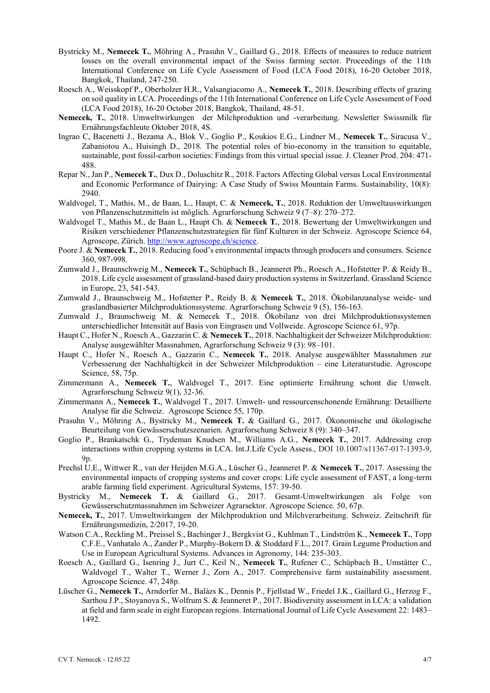- Bystricky M., **Nemecek T.**, Möhring A., Prasuhn V., Gaillard G., 2018. Effects of measures to reduce nutrient losses on the overall environmental impact of the Swiss farming sector. Proceedings of the 11th International Conference on Life Cycle Assessment of Food (LCA Food 2018), 16-20 October 2018, Bangkok, Thailand, 247-250.
- Roesch A., Weisskopf P., Oberholzer H.R., Valsangiacomo A., **Nemecek T.**, 2018. Describing effects of grazing on soil quality in LCA. Proceedings of the 11th International Conference on Life Cycle Assessment of Food (LCA Food 2018), 16-20 October 2018, Bangkok, Thailand, 48-51.
- **Nemecek, T.**, 2018. Umweltwirkungen der Milchproduktion und -verarbeitung. Newsletter Swissmilk für Ernährungsfachleute Oktober 2018, 4S.
- Ingrao C, Bacenetti J., Bezama A., Blok V., Goglio P., Koukios E.G., Lindner M., **Nemecek T.**, Siracusa V., Zabaniotou A., Huisingh D., 2018. The potential roles of bio-economy in the transition to equitable, sustainable, post fossil-carbon societies: Findings from this virtual special issue. J. Cleaner Prod. 204: 471- 488.
- Repar N., Jan P., **Nemecek T.**, Dux D., Doluschitz R., 2018. Factors Affecting Global versus Local Environmental and Economic Performance of Dairying: A Case Study of Swiss Mountain Farms. Sustainability, 10(8): 2940.
- Waldvogel, T., Mathis, M., de Baan, L., Haupt, C. & **Nemecek, T.**, 2018. Reduktion der Umweltauswirkungen von Pflanzenschutzmitteln ist möglich. Agrarforschung Schweiz 9 (7–8): 270–272.
- Waldvogel T., Mathis M., de Baan L., Haupt Ch. & **Nemecek T.**, 2018. Bewertung der Umweltwirkungen und Risiken verschiedener Pflanzenschutzstrategien für fünf Kulturen in der Schweiz. Agroscope Science 64, Agroscope, Zürich. [http://www.agroscope.ch/science.](http://www.agroscope.ch/science)
- Poore J. & **Nemecek T.**, 2018. Reducing food's environmental impacts through producers and consumers. Science 360, 987-998.
- Zumwald J., Braunschweig M., **Nemecek T.**, Schüpbach B., Jeanneret Ph., Roesch A., Hofstetter P. & Reidy B., 2018. Life cycle assessment of grassland-based dairy production systems in Switzerland. Grassland Science in Europe, 23, 541-543.
- Zumwald J., Braunschweig M., Hofstetter P., Reidy B. & **Nemecek T.**, 2018. Ökobilanzanalyse weide- und graslandbasierter Milchproduktionssysteme. Agrarforschung Schweiz 9 (5), 156-163.
- Zumwald J., Braunschweig M. & Nemecek T., 2018. Ökobilanz von drei Milchproduktionssystemen unterschiedlicher Intensität auf Basis von Eingrasen und Vollweide. Agroscope Science 61, 97p.
- Haupt C., Hofer N., Roesch A., Gazzarin C. & **Nemecek T.**, 2018. Nachhaltigkeit der Schweizer Milchproduktion: Analyse ausgewählter Massnahmen, Agrarforschung Schweiz 9 (3): 98–101.
- Haupt C., Hofer N., Roesch A., Gazzarin C., **Nemecek T.**, 2018. Analyse ausgewählter Massnahmen zur Verbesserung der Nachhaltigkeit in der Schweizer Milchproduktion – eine Literaturstudie. Agroscope Science, 58, 75p.
- Zimmermann A., **Nemecek T.**, Waldvogel T., 2017. Eine optimierte Ernährung schont die Umwelt. Agrarforschung Schweiz 9(1), 32-36.
- Zimmermann A., **Nemecek T.**, Waldvogel T., 2017. Umwelt- und ressourcenschonende Ernährung: Detaillierte Analyse für die Schweiz. Agroscope Science 55, 170p.
- Prasuhn V., Möhring A., Bystricky M., **Nemecek T.** & Gaillard G., 2017. Ökonomische und ökologische Beurteilung von Gewässerschutzszenarien. Agrarforschung Schweiz 8 (9): 340–347.
- Goglio P., Brankatschk G., Trydeman Knudsen M., Williams A.G., **Nemecek T.**, 2017. Addressing crop interactions within cropping systems in LCA. Int.J.Life Cycle Assess., DOI 10.1007/s11367-017-1393-9, 9p.
- Prechsl U.E., Wittwer R., van der Heijden M.G.A., Lüscher G., Jeanneret P. & **Nemecek T.**, 2017. Assessing the environmental impacts of cropping systems and cover crops: Life cycle assessment of FAST, a long-term arable farming field experiment. Agricultural Systems, 157: 39-50.
- Bystricky M., **Nemecek T.** & Gaillard G., 2017. Gesamt-Umweltwirkungen als Folge von Gewässerschutzmassnahmen im Schweizer Agrarsektor. Agroscope Science. 50, 67p.
- **Nemecek, T.**, 2017. Umweltwirkungen der Milchproduktion und Milchverarbeitung. Schweiz. Zeitschrift für Ernährungsmedizin, 2/2017, 19-20.
- Watson C.A., Reckling M., Preissel S., Bachinger J., Bergkvist G., Kuhlman T., Lindström K., **Nemecek T.**, Topp C.F.E., Vanhatalo A., Zander P., Murphy-Bokern D. & Stoddard F.L., 2017. Grain Legume Production and Use in European Agricultural Systems. Advances in Agronomy, 144: 235-303.
- Roesch A., Gaillard G., Isenring J., Jurt C., Keil N., **Nemecek T.**, Rufener C., Schüpbach B., Umstätter C., Waldvogel T., Walter T., Werner J., Zorn A., 2017. Comprehensive farm sustainability assessment. Agroscope Science. 47, 248p.
- Lüscher G., **Nemecek T.**, Arndorfer M., Balázs K., Dennis P., Fjellstad W., Friedel J.K., Gaillard G., Herzog F., Sarthou J.P., Stoyanova S., Wolfrum S. & Jeanneret P., 2017. Biodiversity assessment in LCA: a validation at field and farm scale in eight European regions. International Journal of Life Cycle Assessment 22: 1483– 1492.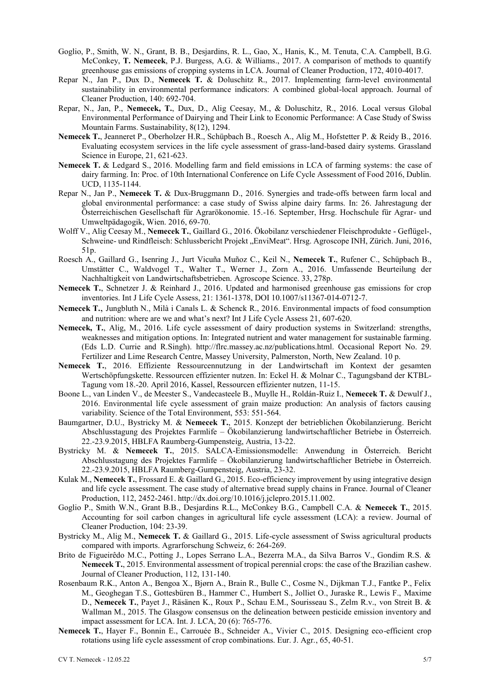- Goglio, P., Smith, W. N., Grant, B. B., Desjardins, R. L., Gao, X., Hanis, K., M. Tenuta, C.A. Campbell, B.G. McConkey, **T. Nemecek**, P.J. Burgess, A.G. & Williams., 2017. A comparison of methods to quantify greenhouse gas emissions of cropping systems in LCA. Journal of Cleaner Production, 172, 4010-4017.
- Repar N., Jan P., Dux D., **Nemecek T.** & Doluschitz R., 2017. Implementing farm-level environmental sustainability in environmental performance indicators: A combined global-local approach. Journal of Cleaner Production, 140: 692-704.
- Repar, N., Jan, P., **Nemecek, T.**, Dux, D., Alig Ceesay, M., & Doluschitz, R., 2016. Local versus Global Environmental Performance of Dairying and Their Link to Economic Performance: A Case Study of Swiss Mountain Farms. Sustainability, 8(12), 1294.
- **Nemecek T.**, Jeanneret P., Oberholzer H.R., Schüpbach B., Roesch A., Alig M., Hofstetter P. & Reidy B., 2016. Evaluating ecosystem services in the life cycle assessment of grass-land-based dairy systems. Grassland Science in Europe, 21, 621-623.
- **Nemecek T.** & Ledgard S., 2016. Modelling farm and field emissions in LCA of farming systems: the case of dairy farming. In: Proc. of 10th International Conference on Life Cycle Assessment of Food 2016, Dublin. UCD, 1135-1144.
- Repar N., Jan P., **Nemecek T.** & Dux-Bruggmann D., 2016. Synergies and trade-offs between farm local and global environmental performance: a case study of Swiss alpine dairy farms. In: 26. Jahrestagung der Österreichischen Gesellschaft für Agrarökonomie. 15.-16. September, Hrsg. Hochschule für Agrar- und Umweltpädagogik, Wien. 2016, 69-70.
- Wolff V., Alig Ceesay M., **Nemecek T.**, Gaillard G., 2016. Ökobilanz verschiedener Fleischprodukte Geflügel-, Schweine- und Rindfleisch: Schlussbericht Projekt "EnviMeat". Hrsg. Agroscope INH, Zürich. Juni, 2016, 51p.
- Roesch A., Gaillard G., Isenring J., Jurt Vicuña Muñoz C., Keil N., **Nemecek T.**, Rufener C., Schüpbach B., Umstätter C., Waldvogel T., Walter T., Werner J., Zorn A., 2016. Umfassende Beurteilung der Nachhaltigkeit von Landwirtschaftsbetrieben. Agroscope Science. 33, 278p.
- **Nemecek T.**, Schnetzer J. & Reinhard J., 2016. Updated and harmonised greenhouse gas emissions for crop inventories. Int J Life Cycle Assess, 21: 1361-1378, DOI 10.1007/s11367-014-0712-7.
- **Nemecek T.**, Jungbluth N., Milà i Canals L. & Schenck R., 2016. Environmental impacts of food consumption and nutrition: where are we and what's next? Int J Life Cycle Assess 21, 607-620.
- **Nemecek, T.**, Alig, M., 2016. Life cycle assessment of dairy production systems in Switzerland: strengths, weaknesses and mitigation options. In: Integrated nutrient and water management for sustainable farming. (Eds L.D. Currie and R.Singh). http://flrc.massey.ac.nz/publications.html. Occasional Report No. 29. Fertilizer and Lime Research Centre, Massey University, Palmerston, North, New Zealand. 10 p.
- **Nemecek T.**, 2016. Effiziente Ressourcennutzung in der Landwirtschaft im Kontext der gesamten Wertschöpfungskette. Ressourcen effizienter nutzen. In: Eckel H. & Molnar C., Tagungsband der KTBL-Tagung vom 18.-20. April 2016, Kassel, Ressourcen effizienter nutzen, 11-15.
- Boone L., van Linden V., de Meester S., Vandecasteele B., Muylle H., Roldán-Ruiz I., **Nemecek T.** & Dewulf J., 2016. Environmental life cycle assessment of grain maize production: An analysis of factors causing variability. Science of the Total Environment, 553: 551-564.
- Baumgartner, D.U., Bystricky M. & **Nemecek T.**, 2015. Konzept der betrieblichen Ökobilanzierung. Bericht Abschlusstagung des Projektes Farmlife – Ökobilanzierung landwirtschaftlicher Betriebe in Österreich. 22.-23.9.2015, HBLFA Raumberg-Gumpensteig, Austria, 13-22.
- Bystricky M. & **Nemecek T.**, 2015. SALCA-Emissionsmodelle: Anwendung in Österreich. Bericht Abschlusstagung des Projektes Farmlife – Ökobilanzierung landwirtschaftlicher Betriebe in Österreich. 22.-23.9.2015, HBLFA Raumberg-Gumpensteig, Austria, 23-32.
- Kulak M., **Nemecek T.**, Frossard E. & Gaillard G., 2015. Eco-efficiency improvement by using integrative design and life cycle assessment. The case study of alternative bread supply chains in France. Journal of Cleaner Production, 112, 2452-2461. http://dx.doi.org/10.1016/j.jclepro.2015.11.002.
- Goglio P., Smith W.N., Grant B.B., Desjardins R.L., McConkey B.G., Campbell C.A. & **Nemecek T.**, 2015. Accounting for soil carbon changes in agricultural life cycle assessment (LCA): a review. Journal of Cleaner Production, 104: 23-39.
- Bystricky M., Alig M., **Nemecek T.** & Gaillard G., 2015. Life-cycle assessment of Swiss agricultural products compared with imports. Agrarforschung Schweiz, 6: 264-269.
- Brito de Figueirêdo M.C., Potting J., Lopes Serrano L.A., Bezerra M.A., da Silva Barros V., Gondim R.S. & **Nemecek T.**, 2015. Environmental assessment of tropical perennial crops: the case of the Brazilian cashew. Journal of Cleaner Production, 112, 131-140.
- Rosenbaum R.K., Anton A., Bengoa X., Bjørn A., Brain R., Bulle C., Cosme N., Dijkman T.J., Fantke P., Felix M., Geoghegan T.S., Gottesbüren B., Hammer C., Humbert S., Jolliet O., Juraske R., Lewis F., Maxime D., **Nemecek T.**, Payet J., Räsänen K., Roux P., Schau E.M., Sourisseau S., Zelm R.v., von Streit B. & Wallman M., 2015. The Glasgow consensus on the delineation between pesticide emission inventory and impact assessment for LCA. Int. J. LCA, 20 (6): 765-776.
- **Nemecek T.**, Hayer F., Bonnin E., Carrouée B., Schneider A., Vivier C., 2015. Designing eco-efficient crop rotations using life cycle assessment of crop combinations. Eur. J. Agr., 65, 40-51.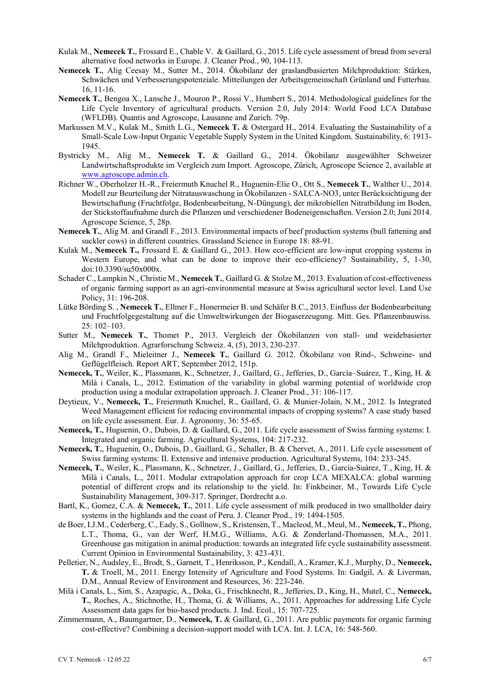- Kulak M., **Nemecek T.**, Frossard E., Chable V. & Gaillard, G., 2015. Life cycle assessment of bread from several alternative food networks in Europe. J. Cleaner Prod., 90, 104-113.
- **Nemecek T.**, Alig Ceesay M., Sutter M., 2014. Ökobilanz der graslandbasierten Milchproduktion: Stärken, Schwächen und Verbesserungspotenziale. Mitteilungen der Arbeitsgemeinschaft Grünland und Futterbau. 16, 11-16.
- **Nemecek T.**, Bengoa X., Lansche J., Mouron P., Rossi V., Humbert S., 2014. Methodological guidelines for the Life Cycle Inventory of agricultural products. Version 2.0, July 2014: World Food LCA Database (WFLDB). Quantis and Agroscope, Lausanne and Zurich. 79p.
- Markussen M.V., Kulak M., Smith L.G., **Nemecek T.** & Ostergard H., 2014. Evaluating the Sustainability of a Small-Scale Low-Input Organic Vegetable Supply System in the United Kingdom. Sustainability, 6: 1913- 1945.
- Bystricky M., Alig M., **Nemecek T.** & Gaillard G., 2014. Ökobilanz ausgewählter Schweizer Landwirtschaftsprodukte im Vergleich zum Import. Agroscope, Zürich, Agroscope Science 2, available at [www.agroscope.admin.ch.](http://www.agroscope.admin.ch/)
- Richner W., Oberholzer H.-R., Freiermuth Knuchel R., Huguenin-Elie O., Ott S., **Nemecek T.**, Walther U., 2014. Modell zur Beurteilung der Nitratauswaschung in Ökobilanzen - SALCA-NO3, unter Berücksichtigung der Bewirtschaftung (Fruchtfolge, Bodenbearbeitung, N-Düngung), der mikrobiellen Nitratbildung im Boden, der Stickstoffaufnahme durch die Pflanzen und verschiedener Bodeneigenschaften. Version 2.0; Juni 2014. Agroscope Science, 5, 28p.
- **Nemecek T., Alig M. and Grandl F., 2013. Environmental impacts of beef production systems (bull fattening and** suckler cows) in different countries. Grassland Science in Europe 18: 88-91.
- Kulak M., **Nemecek T.,** Frossard E. & Gaillard G., 2013. How eco-efficient are low-input cropping systems in Western Europe, and what can be done to improve their eco-efficiency? Sustainability, 5, 1-30, doi:10.3390/su50x000x.
- Schader C., Lampkin N., Christie M., **Nemecek T.**, Gaillard G. & Stolze M., 2013. Evaluation of cost-effectiveness of organic farming support as an agri-environmental measure at Swiss agricultural sector level. Land Use Policy, 31: 196-208.
- Lütke Börding S. , **Nemecek T.**, Ellmer F., Honermeier B. und Schäfer B.C., 2013. Einfluss der Bodenbearbeitung und Fruchtfolgegestaltung auf die Umweltwirkungen der Biogaserzeugung. Mitt. Ges. Pflanzenbauwiss. 25: 102–103.
- Sutter M., **Nemecek T.**, Thomet P., 2013. Vergleich der Ökobilanzen von stall- und weidebasierter Milchproduktion. Agrarforschung Schweiz. 4, (5), 2013, 230-237.
- Alig M., Grandl F., Mieleitner J., **Nemecek T.**, Gaillard G. 2012. Ökobilanz von Rind-, Schweine- und Geflügelfleisch. Report ART, September 2012, 151p.
- **Nemecek, T.**, Weiler, K., Plassmann, K., Schnetzer, J., Gaillard, G., Jefferies, D., García–Suárez, T., King, H. & Milà i Canals, L., 2012. Estimation of the variability in global warming potential of worldwide crop production using a modular extrapolation approach. J. Cleaner Prod., 31: 106-117.
- Deytieux, V., **Nemecek, T.**, Freiermuth Knuchel, R., Gaillard, G. & Munier-Jolain, N.M., 2012. Is Integrated Weed Management efficient for reducing environmental impacts of cropping systems? A case study based on life cycle assessment. Eur. J. Agronomy, 36: 55-65.
- **Nemecek, T.**, Huguenin, O., Dubois, D. & Gaillard, G., 2011. Life cycle assessment of Swiss farming systems: I. Integrated and organic farming. Agricultural Systems, 104: 217-232.
- **Nemecek, T.**, Huguenin, O., Dubois, D., Gaillard, G., Schaller, B. & Chervet, A., 2011. Life cycle assessment of Swiss farming systems: II. Extensive and intensive production. Agricultural Systems, 104: 233-245.
- **Nemecek, T.**, Weiler, K., Plassmann, K., Schnetzer, J., Gaillard, G., Jefferies, D., García-Suárez, T., King, H. & Milà i Canals, L., 2011. Modular extrapolation approach for crop LCA MEXALCA: global warming potential of different crops and its relationship to the yield. In: Finkbeiner, M., Towards Life Cycle Sustainability Management, 309-317. Springer, Dordrecht a.o.
- Bartl, K., Gomez, C.A. & **Nemecek, T.**, 2011. Life cycle assessment of milk produced in two smallholder dairy systems in the highlands and the coast of Peru. J. Cleaner Prod., 19: 1494-1505.
- de Boer, I.J.M., Cederberg, C., Eady, S., Gollnow, S., Kristensen, T., Macleod, M., Meul, M., **Nemecek, T.**, Phong, L.T., Thoma, G., van der Werf, H.M.G., Williams, A.G. & Zonderland-Thomassen, M.A., 2011. Greenhouse gas mitigation in animal production: towards an integrated life cycle sustainability assessment. Current Opinion in Environmental Sustainability, 3: 423-431.
- Pelletier, N., Audsley, E., Brodt, S., Garnett, T., Henriksson, P., Kendall, A., Kramer, K.J., Murphy, D., **Nemecek, T.** & Troell, M., 2011. Energy Intensity of Agriculture and Food Systems. In: Gadgil, A. & Liverman, D.M., Annual Review of Environment and Resources, 36: 223-246.
- Milà i Canals, L., Sim, S., Azapagic, A., Doka, G., Frischknecht, R., Jefferies, D., King, H., Mutel, C., **Nemecek, T.**, Roches, A., Stichnothe, H., Thoma, G. & Williams, A., 2011. Approaches for addressing Life Cycle Assessment data gaps for bio-based products. J. Ind. Ecol., 15: 707-725.
- Zimmermann, A., Baumgartner, D., **Nemecek, T.** & Gaillard, G., 2011. Are public payments for organic farming cost-effective? Combining a decision-support model with LCA. Int. J. LCA, 16: 548-560.